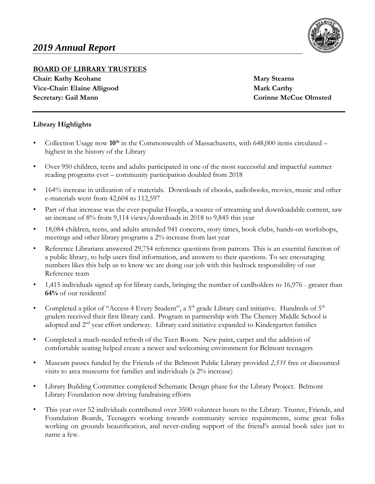

### **BOARD OF LIBRARY TRUSTEES**

**Chair: Kathy Keohane Mary Stearns** Mary Stearns **Vice-Chair: Elaine Alligood Mark Carthy Secretary: Gail Mann Corinne McCue Olmsted** 

### **Library Highlights**

- Collection Usage now  $10^{th}$  in the Commonwealth of Massachusetts, with 648,000 items circulated highest in the history of the Library
- Over 950 children, teens and adults participated in one of the most successful and impactful summer reading programs ever – community participation doubled from 2018
- 164% increase in utilization of e materials. Downloads of ebooks, audiobooks, movies, music and other e-materials went from 42,604 to 112,597
- Part of that increase was the ever-popular Hoopla, a source of streaming and downloadable content, saw an increase of 8% from 9,114 views/downloads in 2018 to 9,845 this year
- 18,084 children, teens, and adults attended 941 concerts, story times, book clubs, hands-on workshops, meetings and other library programs a 2% increase from last year
- Reference Librarians answered 29,754 reference questions from patrons. This is an essential function of a public library, to help users find information, and answers to their questions. To see encouraging numbers likes this help us to know we are doing our job with this bedrock responsibility of our Reference team
- 1,415 individuals signed up for library cards, bringing the number of cardholders to 16,976 greater than **64%** of our residents!
- Completed a pilot of "Access 4 Every Student", a 5<sup>th</sup> grade Library card initiative. Hundreds of 5<sup>th</sup> graders received their first library card. Program in partnership with The Chenery Middle School is adopted and 2<sup>nd</sup> year effort underway. Library card initiative expanded to Kindergarten families
- Completed a much-needed refresh of the Teen Room. New paint, carpet and the addition of comfortable seating helped create a newer and welcoming environment for Belmont teenagers
- Museum passes funded by the Friends of the Belmont Public Library provided *2,531* free or discounted visits to area museums for families and individuals (a 2% increase)
- Library Building Committee completed Schematic Design phase for the Library Project. Belmont Library Foundation now driving fundraising efforts
- This year over 52 individuals contributed over 3500 volunteer hours to the Library. Trustee, Friends, and Foundation Boards, Teenagers working towards community service requirements, some great folks working on grounds beautification, and never-ending support of the friend's annual book sales just to name a few.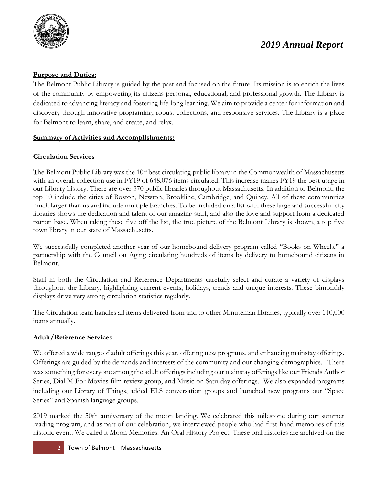

### **Purpose and Duties:**

The Belmont Public Library is guided by the past and focused on the future. Its mission is to enrich the lives of the community by empowering its citizens personal, educational, and professional growth. The Library is dedicated to advancing literacy and fostering life-long learning. We aim to provide a center for information and discovery through innovative programing, robust collections, and responsive services. The Library is a place for Belmont to learn, share, and create, and relax.

### **Summary of Activities and Accomplishments:**

### **Circulation Services**

The Belmont Public Library was the 10<sup>th</sup> best circulating public library in the Commonwealth of Massachusetts with an overall collection use in FY19 of 648,076 items circulated. This increase makes FY19 the best usage in our Library history. There are over 370 public libraries throughout Massachusetts. In addition to Belmont, the top 10 include the cities of Boston, Newton, Brookline, Cambridge, and Quincy. All of these communities much larger than us and include multiple branches. To be included on a list with these large and successful city libraries shows the dedication and talent of our amazing staff, and also the love and support from a dedicated patron base. When taking these five off the list, the true picture of the Belmont Library is shown, a top five town library in our state of Massachusetts.

We successfully completed another year of our homebound delivery program called "Books on Wheels," a partnership with the Council on Aging circulating hundreds of items by delivery to homebound citizens in Belmont.

Staff in both the Circulation and Reference Departments carefully select and curate a variety of displays throughout the Library, highlighting current events, holidays, trends and unique interests. These bimonthly displays drive very strong circulation statistics regularly.

The Circulation team handles all items delivered from and to other Minuteman libraries, typically over 110,000 items annually.

### **Adult/Reference Services**

We offered a wide range of adult offerings this year, offering new programs, and enhancing mainstay offerings. Offerings are guided by the demands and interests of the community and our changing demographics. There was something for everyone among the adult offerings including our mainstay offerings like our Friends Author Series, Dial M For Movies film review group, and Music on Saturday offerings. We also expanded programs including our Library of Things, added ELS conversation groups and launched new programs our "Space Series" and Spanish language groups.

2019 marked the 50th anniversary of the moon landing. We celebrated this milestone during our summer reading program, and as part of our celebration, we interviewed people who had first-hand memories of this historic event. We called it Moon Memories: An Oral History Project. These oral histories are archived on the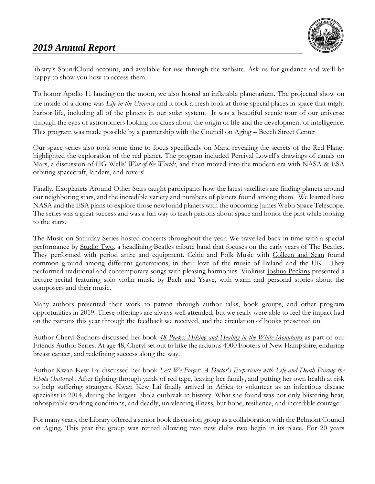

library's SoundCloud account, and available for use through the website. Ask us for guidance and we'll be happy to show you how to access them.

To honor Apollo 11 landing on the moon, we also hosted an inflatable planetarium. The projected show on the inside of a dome was *Life in the Universe* and it took a fresh look at those special places in space that might harbor life, including all of the planets in our solar system. It was a beautiful scenic tour of our universe through the eyes of astronomers looking for clues about the origin of life and the development of intelligence. This program was made possible by a partnership with the Council on Aging – Beech Street Center

Our space series also took some time to focus specifically on Mars, revealing the secrets of the Red Planet highlighted the exploration of the red planet. The program included Percival Lowell's drawings of canals on Mars, a discussion of HG Wells' *War of the Worlds*, and then moved into the modern era with NASA & ESA orbiting spacecraft, landers, and rovers!

Finally, Exoplanets Around Other Stars taught participants how the latest satellites are finding planets around our neighboring stars, and the incredible variety and numbers of planets found among them. We learned how NASA and the ESA plans to explore those newfound planets with the upcoming James Webb Space Telescope. The series was a great success and was a fun way to teach patrons about space and honor the past while looking to the stars.

The Music on Saturday Series hosted concerts throughout the year. We travelled back in time with a special performance by Studio Two, a headlining Beatles tribute band that focuses on the early years of The Beatles. They performed with period attire and equipment. Celtic and Folk Music with Colleen and Sean found common ground among different generations, in their love of the music of Ireland and the UK. They performed traditional and contemporary songs with pleasing harmonies. Violinist Joshua Peckins presented a lecture recital featuring solo violin music by Bach and Ysaye, with warm and personal stories about the composers and their music.

Many authors presented their work to patron through author talks, book groups, and other program opportunities in 2019. These offerings are always well attended, but we really were able to feel the impact had on the patrons this year through the feedback we received, and the circulation of books presented on.

Author Cheryl Suchors discussed her book *[48 Peaks: Hiking and Healing in the White Mountains](http://find.minlib.net/iii/encore/record/C__Rb3778228__S48%20peaks__Ff%3Afacetcollections%3A6%3A6%3ABelmont%3A%3A__Orightresult__U__X7?lang=eng&suite=cobalt)* as part of our Friends Author Series. At age 48, Cheryl set out to hike the arduous 4000 Footers of New Hampshire, enduring breast cancer, and redefining success along the way.

Author Kwan Kew Lai discussed her book *Lest We Forget: A Doctor's Experience with Life and Death During the Ebola Outbreak*. After fighting through yards of red tape, leaving her family, and putting her own health at risk to help suffering strangers, Kwan Kew Lai finally arrived in Africa to volunteer as an infectious disease specialist in 2014, during the largest Ebola outbreak in history. What she found was not only blistering heat, inhospitable working conditions, and deadly, unrelenting illness, but hope, resilience, and incredible courage.

For many years, the Library offered a senior book discussion group as a collaboration with the Belmont Council on Aging. This year the group was retired allowing two new clubs two begin in its place. For 20 years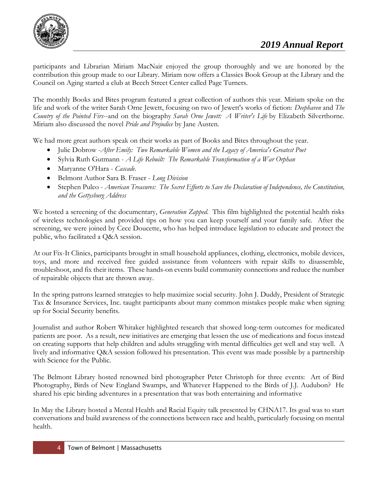

participants and Librarian Miriam MacNair enjoyed the group thoroughly and we are honored by the contribution this group made to our Library. Miriam now offers a Classics Book Group at the Library and the Council on Aging started a club at Beech Street Center called Page Turners.

The monthly Books and Bites program featured a great collection of authors this year. Miriam spoke on the life and work of the writer Sarah Orne Jewett, focusing on two of Jewett's works of fiction: *Deephaven* and *The Country of the Pointed Firs*--and on the biography *Sarah Orne Jewett: A Writer's Life* by Elizabeth Silverthorne. Miriam also discussed the novel *Pride and Prejudice* by Jane Austen.

We had more great authors speak on their works as part of Books and Bites throughout the year.

- Julie Dobrow -*After Emily: Two Remarkable Women and the Legacy of America's Greatest Poet*
- Sylvia Ruth Gutmann *A Life Rebuilt: The Remarkable Transformation of a War Orphan*
- Maryanne O'Hara *Cascade*.
- Belmont Author Sara B. Fraser *Long Division*
- Stephen Puleo *American Treasures: The Secret Efforts to Save the Declaration of Independence, the Constitution, and the Gettysburg Address*

We hosted a screening of the documentary, *Generation Zapped.* This film highlighted the potential health risks of wireless technologies and provided tips on how you can keep yourself and your family safe. After the screening, we were joined by Cece Doucette, who has helped introduce legislation to educate and protect the public, who facilitated a Q&A session.

At our Fix-It Clinics, participants brought in small household appliances, clothing, electronics, mobile devices, toys, and more and received free guided assistance from volunteers with repair skills to disassemble, troubleshoot, and fix their items. These hands-on events build community connections and reduce the number of repairable objects that are thrown away.

In the spring patrons learned strategies to help maximize social security. John J. Duddy, President of Strategic Tax & Insurance Services, Inc. taught participants about many common mistakes people make when signing up for Social Security benefits.

Journalist and author Robert Whitaker highlighted research that showed long-term outcomes for medicated patients are poor. As a result, new initiatives are emerging that lessen the use of medications and focus instead on creating supports that help children and adults struggling with mental difficulties get well and stay well. A lively and informative Q&A session followed his presentation. This event was made possible by a partnership with Science for the Public.

The Belmont Library hosted renowned bird photographer Peter Christoph for three events: Art of Bird Photography, Birds of New England Swamps, and Whatever Happened to the Birds of J.J. Audubon? He shared his epic birding adventures in a presentation that was both entertaining and informative

In May the Library hosted a Mental Health and Racial Equity talk presented by CHNA17. Its goal was to start conversations and build awareness of the connections between race and health, particularly focusing on mental health.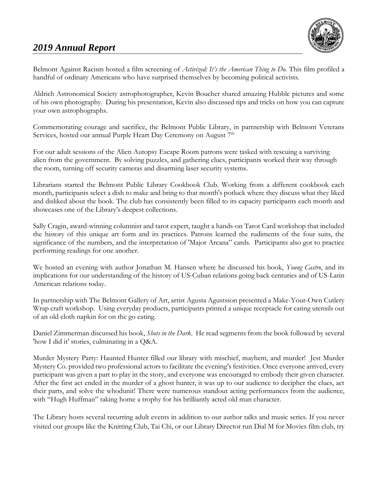

Belmont Against Racism hosted a film screening of *Activized: It's the American Thing to Do.* This film profiled a handful of ordinary Americans who have surprised themselves by becoming political activists.

Aldrich Astronomical Society astrophotographer, Kevin Boucher shared amazing Hubble pictures and some of his own photography. During his presentation, Kevin also discussed tips and tricks on how you can capture your own astrophographs.

Commemorating courage and sacrifice, the Belmont Public Library, in partnership with Belmont Veterans Services, hosted our annual Purple Heart Day Ceremony on August 7<sup>th</sup>

For our adult sessions of the Alien Autopsy Escape Room patrons were tasked with rescuing a surviving alien from the government. By solving puzzles, and gathering clues, participants worked their way through the room, turning off security cameras and disarming laser security systems.

Librarians started the Belmont Public Library Cookbook Club. Working from a different cookbook each month, participants select a dish to make and bring to that month's potluck where they discuss what they liked and disliked about the book. The club has consistently been filled to its capacity participants each month and showcases one of the Library's deepest collections.

Sally Cragin, award-winning columnist and tarot expert, taught a hands-on Tarot Card workshop that included the history of this unique art form and its practices. Patrons learned the rudiments of the four suits, the significance of the numbers, and the interpretation of 'Major Arcana" cards. Participants also got to practice performing readings for one another.

We hosted an evening with author Jonathan M. Hansen where he discussed his book, *Young Castro*, and its implications for our understanding of the history of US-Cuban relations going back centuries and of US-Latin American relations today.

In partnership with The Belmont Gallery of Art, artist Agusta Agustsson presented a Make-Your-Own Cutlery Wrap craft workshop. Using everyday products, participants printed a unique receptacle for eating utensils out of an old cloth napkin for on the go eating.

Daniel Zimmerman discussed his book, *Shots in the Dark*. He read segments from the book followed by several 'how I did it' stories, culminating in a Q&A.

Murder Mystery Party: Haunted Hunter filled our library with mischief, mayhem, and murder! Jest Murder Mystery Co. provided two professional actors to facilitate the evening's festivities. Once everyone arrived, every participant was given a part to play in the story, and everyone was encouraged to embody their given character. After the first act ended in the murder of a ghost hunter, it was up to our audience to decipher the clues, act their parts, and solve the whodunit! There were numerous standout acting performances from the audience, with "Hugh Huffman" taking home a trophy for his brilliantly acted old man character.

The Library hosts several recurring adult events in addition to our author talks and music series. If you never visited our groups like the Knitting Club, Tai Chi, or our Library Director run Dial M for Movies film club, try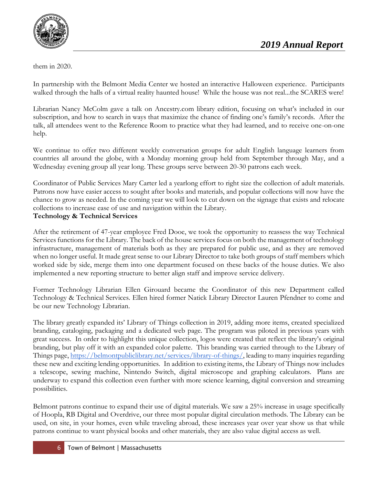

them in 2020.

In partnership with the Belmont Media Center we hosted an interactive Halloween experience. Participants walked through the halls of a virtual reality haunted house! While the house was not real...the SCARES were!

Librarian Nancy McColm gave a talk on Ancestry.com library edition, focusing on what's included in our subscription, and how to search in ways that maximize the chance of finding one's family's records. After the talk, all attendees went to the Reference Room to practice what they had learned, and to receive one-on-one help.

We continue to offer two different weekly conversation groups for adult English language learners from countries all around the globe, with a Monday morning group held from September through May, and a Wednesday evening group all year long. These groups serve between 20-30 patrons each week.

Coordinator of Public Services Mary Carter led a yearlong effort to right size the collection of adult materials. Patrons now have easier access to sought after books and materials, and popular collections will now have the chance to grow as needed. In the coming year we will look to cut down on the signage that exists and relocate collections to increase ease of use and navigation within the Library.

#### **Technology & Technical Services**

After the retirement of 47-year employee Fred Dooe, we took the opportunity to reassess the way Technical Services functions for the Library. The back of the house services focus on both the management of technology infrastructure, management of materials both as they are prepared for public use, and as they are removed when no longer useful. It made great sense to our Library Director to take both groups of staff members which worked side by side, merge them into one department focused on these backs of the house duties. We also implemented a new reporting structure to better align staff and improve service delivery.

Former Technology Librarian Ellen Girouard became the Coordinator of this new Department called Technology & Technical Services. Ellen hired former Natick Library Director Lauren Pfendner to come and be our new Technology Librarian.

The library greatly expanded its' Library of Things collection in 2019, adding more items, created specialized branding, cataloging, packaging and a dedicated web page. The program was piloted in previous years with great success. In order to highlight this unique collection, logos were created that reflect the library's original branding, but play off it with an expanded color palette. This branding was carried through to the Library of Things page, [https://belmontpubliclibrary.net/services/library-of-things/,](https://belmontpubliclibrary.net/services/library-of-things/) leading to many inquiries regarding these new and exciting lending opportunities. In addition to existing items, the Library of Things now includes a telescope, sewing machine, Nintendo Switch, digital microscope and graphing calculators. Plans are underway to expand this collection even further with more science learning, digital conversion and streaming possibilities.

Belmont patrons continue to expand their use of digital materials. We saw a 25% increase in usage specifically of Hoopla, RB Digital and Overdrive, our three most popular digital circulation methods. The Library can be used, on site, in your homes, even while traveling abroad, these increases year over year show us that while patrons continue to want physical books and other materials, they are also value digital access as well.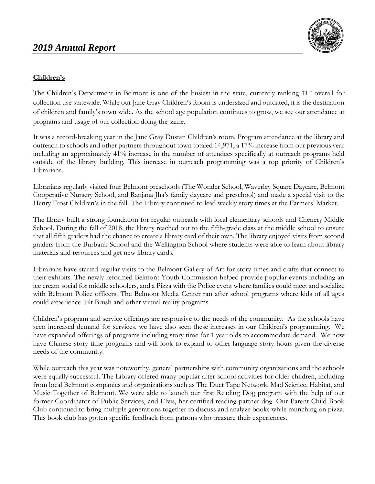

### **Children's**

The Children's Department in Belmont is one of the busiest in the state, currently ranking 11<sup>th</sup> overall for collection use statewide. While our Jane Gray Children's Room is undersized and outdated, it is the destination of children and family's town wide. As the school age population continues to grow, we see our attendance at programs and usage of our collection doing the same.

It was a record-breaking year in the Jane Gray Dustan Children's room. Program attendance at the library and outreach to schools and other partners throughout town totaled 14,971, a 17% increase from our previous year including an approximately 41% increase in the number of attendees specifically at outreach programs held outside of the library building. This increase in outreach programming was a top priority of Children's Librarians.

Librarians regularly visited four Belmont preschools (The Wonder School, Waverley Square Daycare, Belmont Cooperative Nursery School, and Ranjana Jha's family daycare and preschool) and made a special visit to the Henry Frost Children's in the fall. The Library continued to lead weekly story times at the Farmers' Market.

The library built a strong foundation for regular outreach with local elementary schools and Chenery Middle School. During the fall of 2018, the library reached out to the fifth-grade class at the middle school to ensure that all fifth graders had the chance to create a library card of their own. The library enjoyed visits from second graders from the Burbank School and the Wellington School where students were able to learn about library materials and resources and get new library cards.

Librarians have started regular visits to the Belmont Gallery of Art for story times and crafts that connect to their exhibits. The newly reformed Belmont Youth Commission helped provide popular events including an ice cream social for middle schoolers, and a Pizza with the Police event where families could meet and socialize with Belmont Police officers. The Belmont Media Center ran after school programs where kids of all ages could experience Tilt Brush and other virtual reality programs.

Children's program and service offerings are responsive to the needs of the community. As the schools have seen increased demand for services, we have also seen these increases in our Children's programming. We have expanded offerings of programs including story time for 1 year olds to accommodate demand. We now have Chinese story time programs and will look to expand to other language story hours given the diverse needs of the community.

While outreach this year was noteworthy, general partnerships with community organizations and the schools were equally successful. The Library offered many popular after-school activities for older children, including from local Belmont companies and organizations such as The Duct Tape Network, Mad Science, Habitat, and Music Together of Belmont. We were able to launch our first Reading Dog program with the help of our former Coordinator of Public Services, and Elvis, her certified reading partner dog. Our Parent Child Book Club continued to bring multiple generations together to discuss and analyze books while munching on pizza. This book club has gotten specific feedback from patrons who treasure their experiences.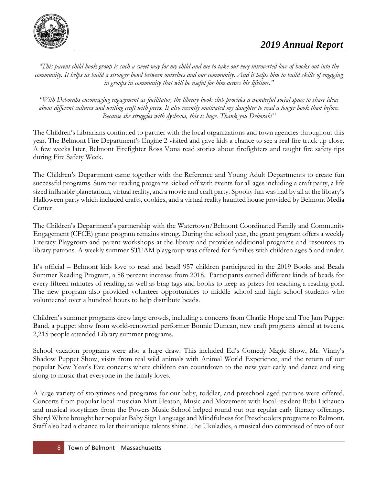

*"This parent child book group is such a sweet way for my child and me to take our very introverted love of books out into the community. It helps us build a stronger bond between ourselves and our community. And it helps him to build skills of engaging in groups in community that will be useful for him across his lifetime."*

*"With Deborahs encouraging engagement as facilitator, the library book club provides a wonderful social space to share ideas about different cultures and writing craft with peers. It also recently motivated my daughter to read a longer book than before. Because she struggles with dyslexia, this is huge. Thank you Deborah!"*

The Children's Librarians continued to partner with the local organizations and town agencies throughout this year. The Belmont Fire Department's Engine 2 visited and gave kids a chance to see a real fire truck up close. A few weeks later, Belmont Firefighter Ross Vona read stories about firefighters and taught fire safety tips during Fire Safety Week.

The Children's Department came together with the Reference and Young Adult Departments to create fun successful programs. Summer reading programs kicked off with events for all ages including a craft party, a life sized inflatable planetarium, virtual reality, and a movie and craft party. Spooky fun was had by all at the library's Halloween party which included crafts, cookies, and a virtual reality haunted house provided by Belmont Media Center.

The Children's Department's partnership with the Watertown/Belmont Coordinated Family and Community Engagement (CFCE) grant program remains strong. During the school year, the grant program offers a weekly Literacy Playgroup and parent workshops at the library and provides additional programs and resources to library patrons. A weekly summer STEAM playgroup was offered for families with children ages 5 and under.

It's official – Belmont kids love to read and bead! 957 children participated in the 2019 Books and Beads Summer Reading Program, a 58 percent increase from 2018. Participants earned different kinds of beads for every fifteen minutes of reading, as well as brag tags and books to keep as prizes for reaching a reading goal. The new program also provided volunteer opportunities to middle school and high school students who volunteered over a hundred hours to help distribute beads.

Children's summer programs drew large crowds, including a concerts from Charlie Hope and Toe Jam Puppet Band, a puppet show from world-renowned performer Bonnie Duncan, new craft programs aimed at tweens. 2,215 people attended Library summer programs.

School vacation programs were also a huge draw. This included Ed's Comedy Magic Show, Mr. Vinny's Shadow Puppet Show, visits from real wild animals with Animal World Experience, and the return of our popular New Year's Eve concerts where children can countdown to the new year early and dance and sing along to music that everyone in the family loves.

A large variety of storytimes and programs for our baby, toddler, and preschool aged patrons were offered. Concerts from popular local musician Matt Heaton, Music and Movement with local resident Rubi Lichauco and musical storytimes from the Powers Music School helped round out our regular early literacy offerings. Sheryl White brought her popular Baby Sign Language and Mindfulness for Preschoolers programs to Belmont. Staff also had a chance to let their unique talents shine. The Ukuladies, a musical duo comprised of two of our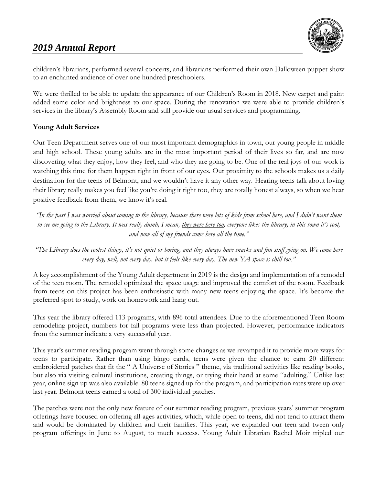

children's librarians, performed several concerts, and librarians performed their own Halloween puppet show to an enchanted audience of over one hundred preschoolers.

We were thrilled to be able to update the appearance of our Children's Room in 2018. New carpet and paint added some color and brightness to our space. During the renovation we were able to provide children's services in the library's Assembly Room and still provide our usual services and programming.

#### **Young Adult Services**

Our Teen Department serves one of our most important demographics in town, our young people in middle and high school. These young adults are in the most important period of their lives so far, and are now discovering what they enjoy, how they feel, and who they are going to be. One of the real joys of our work is watching this time for them happen right in front of our eyes. Our proximity to the schools makes us a daily destination for the teens of Belmont, and we wouldn't have it any other way. Hearing teens talk about loving their library really makes you feel like you're doing it right too, they are totally honest always, so when we hear positive feedback from them, we know it's real.

*"In the past I was worried about coming to the library, because there were lots of kids from school here, and I didn't want them to see me going to the Library. It was really dumb, I mean, they were here too, everyone likes the library, in this town it's cool, and now all of my friends come here all the time."*

*"The Library does the coolest things, it's not quiet or boring, and they always have snacks and fun stuff going on. We come here every day, well, not every day, but it feels like every day. The new YA space is chill too."*

A key accomplishment of the Young Adult department in 2019 is the design and implementation of a remodel of the teen room. The remodel optimized the space usage and improved the comfort of the room. Feedback from teens on this project has been enthusiastic with many new teens enjoying the space. It's become the preferred spot to study, work on homework and hang out.

This year the library offered 113 programs, with 896 total attendees. Due to the aforementioned Teen Room remodeling project, numbers for fall programs were less than projected. However, performance indicators from the summer indicate a very successful year.

This year's summer reading program went through some changes as we revamped it to provide more ways for teens to participate. Rather than using bingo cards, teens were given the chance to earn 20 different embroidered patches that fit the " A Universe of Stories " theme, via traditional activities like reading books, but also via visiting cultural institutions, creating things, or trying their hand at some "adulting." Unlike last year, online sign up was also available. 80 teens signed up for the program, and participation rates were up over last year. Belmont teens earned a total of 300 individual patches.

The patches were not the only new feature of our summer reading program, previous years' summer program offerings have focused on offering all-ages activities, which, while open to teens, did not tend to attract them and would be dominated by children and their families. This year, we expanded our teen and tween only program offerings in June to August, to much success. Young Adult Librarian Rachel Moir tripled our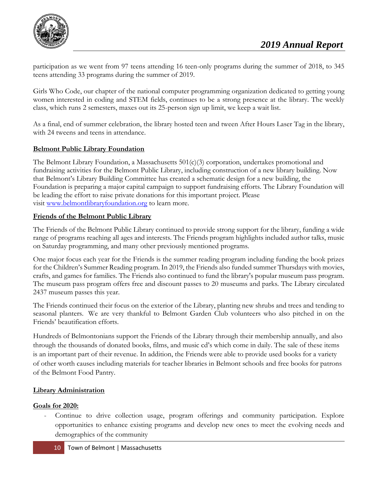

participation as we went from 97 teens attending 16 teen-only programs during the summer of 2018, to 345 teens attending 33 programs during the summer of 2019.

Girls Who Code, our chapter of the national computer programming organization dedicated to getting young women interested in coding and STEM fields, continues to be a strong presence at the library. The weekly class, which runs 2 semesters, maxes out its 25-person sign up limit, we keep a wait list.

As a final, end of summer celebration, the library hosted teen and tween After Hours Laser Tag in the library, with 24 tweens and teens in attendance.

### **Belmont Public Library Foundation**

The Belmont Library Foundation, a Massachusetts  $501(c)(3)$  corporation, undertakes promotional and fundraising activities for the Belmont Public Library, including construction of a new library building. Now that Belmont's Library Building Committee has created a schematic design for a new building, the Foundation is preparing a major capital campaign to support fundraising efforts. The Library Foundation will be leading the effort to raise private donations for this important project. Please visit [www.belmontlibraryfoundation.org](http://www.belmontlibraryfoundation.org/) to learn more.

### **Friends of the Belmont Public Library**

The Friends of the Belmont Public Library continued to provide strong support for the library, funding a wide range of programs reaching all ages and interests. The Friends program highlights included author talks, music on Saturday programming, and many other previously mentioned programs.

One major focus each year for the Friends is the summer reading program including funding the book prizes for the Children's Summer Reading program. In 2019, the Friends also funded summer Thursdays with movies, crafts, and games for families. The Friends also continued to fund the library's popular museum pass program. The museum pass program offers free and discount passes to 20 museums and parks. The Library circulated 2437 museum passes this year.

The Friends continued their focus on the exterior of the Library, planting new shrubs and trees and tending to seasonal planters. We are very thankful to Belmont Garden Club volunteers who also pitched in on the Friends' beautification efforts.

Hundreds of Belmontonians support the Friends of the Library through their membership annually, and also through the thousands of donated books, films, and music cd's which come in daily. The sale of these items is an important part of their revenue. In addition, the Friends were able to provide used books for a variety of other worth causes including materials for teacher libraries in Belmont schools and free books for patrons of the Belmont Food Pantry.

### **Library Administration**

### **Goals for 2020:**

Continue to drive collection usage, program offerings and community participation. Explore opportunities to enhance existing programs and develop new ones to meet the evolving needs and demographics of the community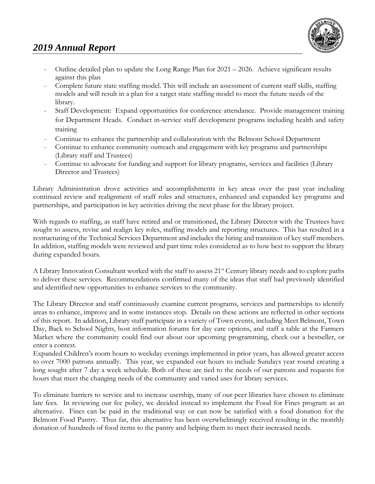

- Outline detailed plan to update the Long Range Plan for 2021 2026. Achieve significant results against this plan
- Complete future state staffing model. This will include an assessment of current staff skills, staffing models and will result in a plan for a target state staffing model to meet the future needs of the library.
- Staff Development: Expand opportunities for conference attendance. Provide management training for Department Heads. Conduct in-service staff development programs including health and safety training
- Continue to enhance the partnership and collaboration with the Belmont School Department
- Continue to enhance community outreach and engagement with key programs and partnerships (Library staff and Trustees)
- Continue to advocate for funding and support for library programs, services and facilities (Library Director and Trustees)

Library Administration drove activities and accomplishments in key areas over the past year including continued review and realignment of staff roles and structures, enhanced and expanded key programs and partnerships, and participation in key activities driving the next phase for the library project.

With regards to staffing, as staff have retired and or transitioned, the Library Director with the Trustees have sought to assess, revise and realign key roles, staffing models and reporting structures. This has resulted in a restructuring of the Technical Services Department and includes the hiring and transition of key staff members. In addition, staffing models were reviewed and part time roles considered as to how best to support the library during expanded hours.

A Library Innovation Consultant worked with the staff to assess 21<sup>st</sup> Century library needs and to explore paths to deliver these services. Recommendations confirmed many of the ideas that staff had previously identified and identified new opportunities to enhance services to the community.

The Library Director and staff continuously examine current programs, services and partnerships to identify areas to enhance, improve and in some instances stop. Details on these actions are reflected in other sections of this report. In addition, Library staff participate in a variety of Town events, including Meet Belmont, Town Day, Back to School Nights, host information forums for day care options, and staff a table at the Farmers Market where the community could find out about our upcoming programming, check out a bestseller, or enter a contest.

Expanded Children's room hours to weekday evenings implemented in prior years, has allowed greater access to over 7000 patrons annually. This year, we expanded our hours to include Sundays year round creating a long sought after 7 day a week schedule. Both of these are tied to the needs of our patrons and requests for hours that meet the changing needs of the community and varied uses for library services.

To eliminate barriers to service and to increase usership, many of our peer libraries have chosen to eliminate late fees. In reviewing our fee policy, we decided instead to implement the Food for Fines program as an alternative. Fines can be paid in the traditional way or can now be satisfied with a food donation for the Belmont Food Pantry. Thus far, this alternative has been overwhelmingly received resulting in the monthly donation of hundreds of food items to the pantry and helping them to meet their increased needs.